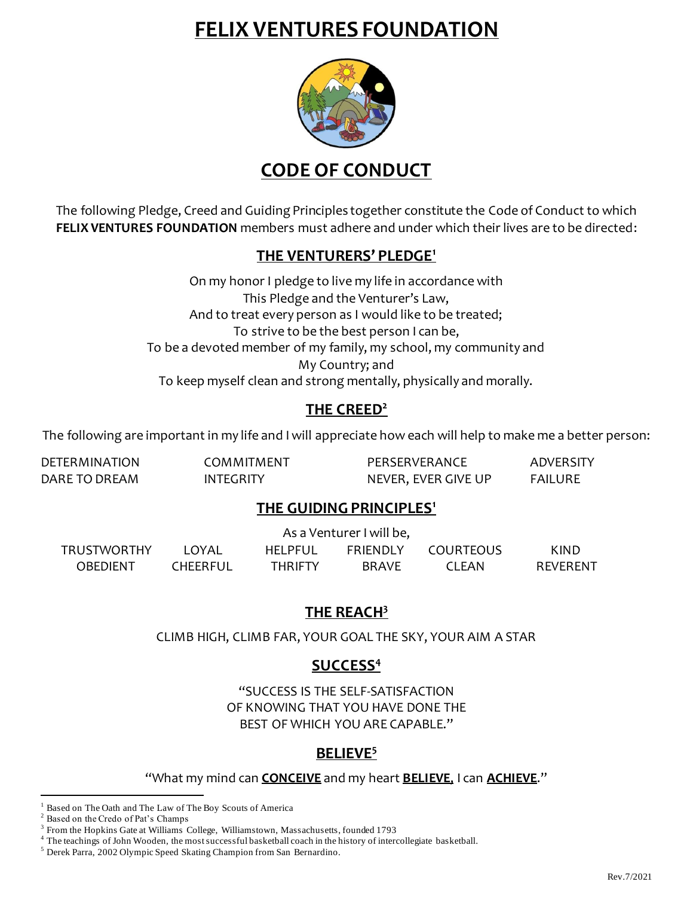## **FELIX VENTURES FOUNDATION**



**CODE OF CONDUCT**

The following Pledge, Creed and Guiding Principles together constitute the Code of Conduct to which **FELIX VENTURES FOUNDATION** members must adhere and under which their lives are to be directed:

### **THE VENTURERS' PLEDGE<sup>1</sup>**

On my honor I pledge to live my life in accordance with This Pledge and the Venturer's Law, And to treat every person as I would like to be treated; To strive to be the best person I can be, To be a devoted member of my family, my school, my community and My Country; and To keep myself clean and strong mentally, physically and morally.

## **THE CREED<sup>2</sup>**

The following are important in my life and I will appreciate how each will help to make me a better person:

| <b>DETERMINATION</b> | COMMITMENT       | PERSERVERANCE       | ADVERSITY |
|----------------------|------------------|---------------------|-----------|
| DARE TO DREAM        | <b>INTEGRITY</b> | NEVER, EVER GIVE UP | FAILURE   |

### **THE GUIDING PRINCIPLES<sup>1</sup>**

|                    | As a Venturer I will be, |                |                 |           |          |
|--------------------|--------------------------|----------------|-----------------|-----------|----------|
| <b>TRUSTWORTHY</b> | LOYAL                    | <b>HELPEUL</b> | <b>FRIENDLY</b> | COURTEOUS | KIND     |
| OBEDIENT           | <b>CHEERFUL</b>          | <b>THRIFTY</b> | <b>BRAVE</b>    | CI FAN    | RFVFRFNT |

### **THE REACH<sup>3</sup>**

CLIMB HIGH, CLIMB FAR, YOUR GOAL THE SKY, YOUR AIM A STAR

## **SUCCESS<sup>4</sup>**

"SUCCESS IS THE SELF-SATISFACTION OF KNOWING THAT YOU HAVE DONE THE BEST OF WHICH YOU ARE CAPABLE."

### **BELIEVE<sup>5</sup>**

"What my mind can **CONCEIVE** and my heart **BELIEVE**, I can **ACHIEVE**."

Based on The Oath and The Law of The Boy Scouts of America

Based on the Credo of Pat's Champs

<sup>&</sup>lt;sup>3</sup> From the Hopkins Gate at Williams College, Williamstown, Massachusetts, founded 1793

<sup>&</sup>lt;sup>4</sup> The teachings of John Wooden, the most successful basketball coach in the history of intercollegiate basketball.

<sup>5</sup> Derek Parra, 2002 Olympic Speed Skating Champion from San Bernardino.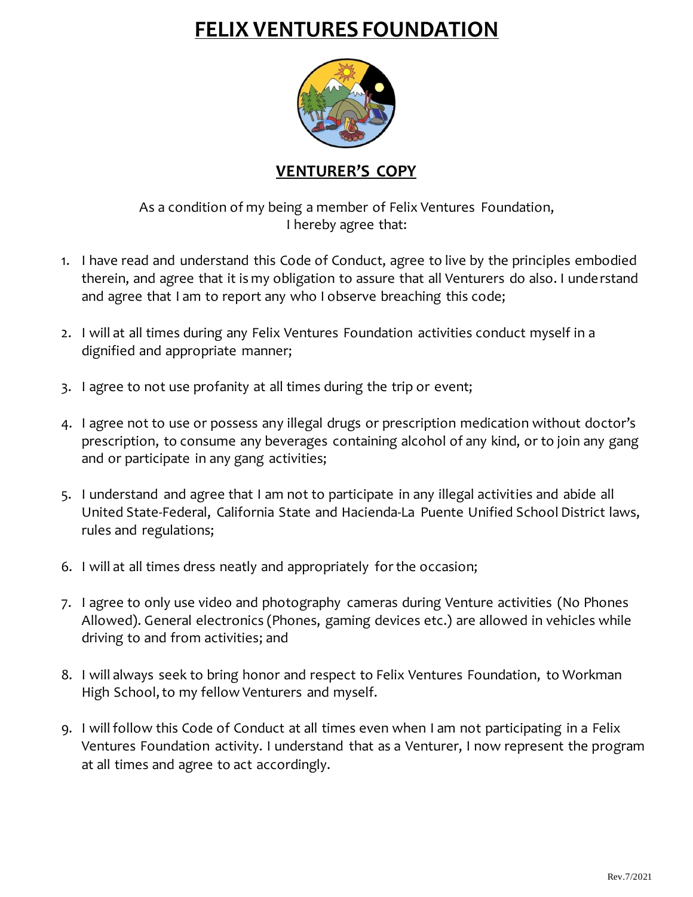# **FELIX VENTURES FOUNDATION**



### **VENTURER'S COPY**

As a condition of my being a member of Felix Ventures Foundation, I hereby agree that:

- 1. I have read and understand this Code of Conduct, agree to live by the principles embodied therein, and agree that it is my obligation to assure that all Venturers do also. I understand and agree that I am to report any who I observe breaching this code;
- 2. I will at all times during any Felix Ventures Foundation activities conduct myself in a dignified and appropriate manner;
- 3. I agree to not use profanity at all times during the trip or event;
- 4. I agree not to use or possess any illegal drugs or prescription medication without doctor's prescription, to consume any beverages containing alcohol of any kind, or to join any gang and or participate in any gang activities;
- 5. I understand and agree that I am not to participate in any illegal activities and abide all United State-Federal, California State and Hacienda-La Puente Unified School District laws, rules and regulations;
- 6. I will at all times dress neatly and appropriately for the occasion;
- 7. I agree to only use video and photography cameras during Venture activities (No Phones Allowed). General electronics (Phones, gaming devices etc.) are allowed in vehicles while driving to and from activities; and
- 8. I will always seek to bring honor and respect to Felix Ventures Foundation, to Workman High School, to my fellow Venturers and myself.
- 9. I will follow this Code of Conduct at all times even when I am not participating in a Felix Ventures Foundation activity. I understand that as a Venturer, I now represent the program at all times and agree to act accordingly.